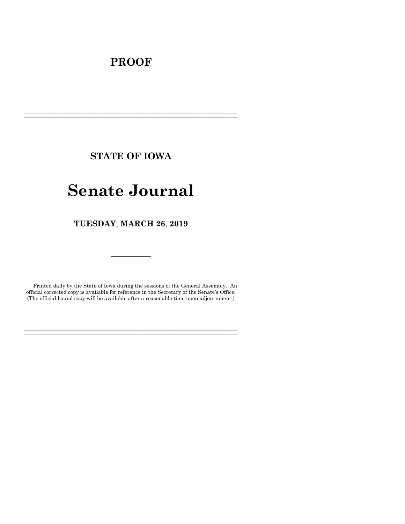## **PROOF**

**STATE OF IOWA**

**\_\_\_\_\_\_\_\_\_\_\_\_\_\_\_\_\_\_\_\_\_\_\_\_\_\_\_\_\_\_\_\_\_\_\_\_\_\_\_\_\_\_\_\_\_\_\_\_\_\_\_\_\_\_\_\_\_\_\_\_\_\_\_\_\_\_\_\_\_\_\_\_\_\_\_\_\_\_\_\_\_\_\_\_\_\_\_\_\_\_\_\_\_\_\_\_\_\_\_\_\_\_\_\_\_\_\_\_\_\_\_\_\_\_\_\_\_\_\_\_\_\_\_\_\_\_\_\_\_ \_\_\_\_\_\_\_\_\_\_\_\_\_\_\_\_\_\_\_\_\_\_\_\_\_\_\_\_\_\_\_\_\_\_\_\_\_\_\_\_\_\_\_\_\_\_\_\_\_\_\_\_\_\_\_\_\_\_\_\_\_\_\_\_\_\_\_\_\_\_\_\_\_\_\_\_\_\_\_\_\_\_\_\_\_\_\_\_\_\_\_\_\_\_\_\_\_\_\_\_\_\_\_\_\_\_\_\_\_\_\_\_\_\_\_\_\_\_\_\_\_\_\_\_\_\_\_\_\_**

# **Senate Journal**

**TUESDAY**, **MARCH 26**, **2019**

Printed daily by the State of Iowa during the sessions of the General Assembly. An official corrected copy is available for reference in the Secretary of the Senate's Office. (The official bound copy will be available after a reasonable time upon adjournment.)

**\_\_\_\_\_\_\_\_\_\_\_\_\_\_\_\_\_\_\_\_\_\_\_\_\_\_\_\_\_\_\_\_\_\_\_\_\_\_\_\_\_\_\_\_\_\_\_\_\_\_\_\_\_\_\_\_\_\_\_\_\_\_\_\_\_\_\_\_\_\_\_\_\_\_\_\_\_\_\_\_\_\_\_\_\_\_\_\_\_\_\_\_\_\_\_\_\_\_\_\_\_\_\_\_\_\_\_\_\_\_\_\_\_\_\_\_\_\_\_\_\_\_\_\_\_\_\_\_\_ \_\_\_\_\_\_\_\_\_\_\_\_\_\_\_\_\_\_\_\_\_\_\_\_\_\_\_\_\_\_\_\_\_\_\_\_\_\_\_\_\_\_\_\_\_\_\_\_\_\_\_\_\_\_\_\_\_\_\_\_\_\_\_\_\_\_\_\_\_\_\_\_\_\_\_\_\_\_\_\_\_\_\_\_\_\_\_\_\_\_\_\_\_\_\_\_\_\_\_\_\_\_\_\_\_\_\_\_\_\_\_\_\_\_\_\_\_\_\_\_\_\_\_\_\_\_\_\_\_**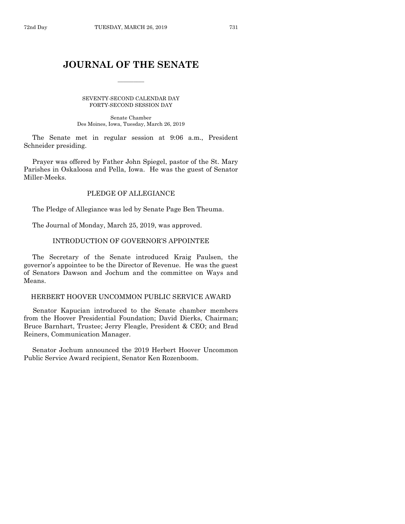## **JOURNAL OF THE SENATE**

 $\frac{1}{2}$ 

SEVENTY-SECOND CALENDAR DAY FORTY-SECOND SESSION DAY

Senate Chamber Des Moines, Iowa, Tuesday, March 26, 2019

The Senate met in regular session at 9:06 a.m., President Schneider presiding.

Prayer was offered by Father John Spiegel, pastor of the St. Mary Parishes in Oskaloosa and Pella, Iowa. He was the guest of Senator Miller-Meeks.

## PLEDGE OF ALLEGIANCE

The Pledge of Allegiance was led by Senate Page Ben Theuma.

The Journal of Monday, March 25, 2019, was approved.

### INTRODUCTION OF GOVERNOR'S APPOINTEE

The Secretary of the Senate introduced Kraig Paulsen, the governor's appointee to be the Director of Revenue. He was the guest of Senators Dawson and Jochum and the committee on Ways and Means.

## HERBERT HOOVER UNCOMMON PUBLIC SERVICE AWARD

Senator Kapucian introduced to the Senate chamber members from the Hoover Presidential Foundation; David Dierks, Chairman; Bruce Barnhart, Trustee; Jerry Fleagle, President & CEO; and Brad Reiners, Communication Manager.

Senator Jochum announced the 2019 Herbert Hoover Uncommon Public Service Award recipient, Senator Ken Rozenboom.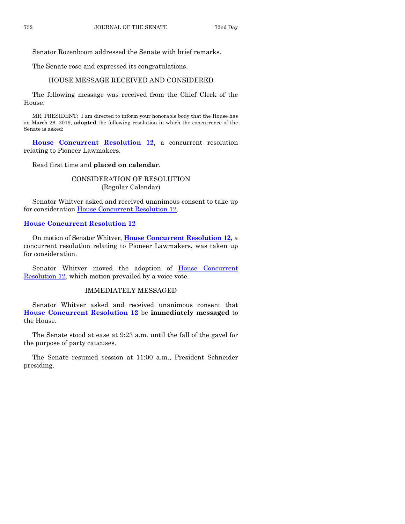Senator Rozenboom addressed the Senate with brief remarks.

The Senate rose and expressed its congratulations.

## HOUSE MESSAGE RECEIVED AND CONSIDERED

The following message was received from the Chief Clerk of the House:

MR. PRESIDENT: I am directed to inform your honorable body that the House has on March 26, 2019, **adopted** the following resolution in which the concurrence of the Senate is asked:

**[House Concurrent Resolution 12](https://www.legis.iowa.gov/legislation/BillBook?ga=88&ba=HCR12)**, a concurrent resolution relating to Pioneer Lawmakers.

Read first time and **placed on calendar**.

## CONSIDERATION OF RESOLUTION (Regular Calendar)

Senator Whitver asked and received unanimous consent to take up for consideration **House Concurrent Resolution 12.** 

#### **[House Concurrent Resolution 12](https://www.legis.iowa.gov/legislation/BillBook?ga=88&ba=HCR12)**

On motion of Senator Whitver, **House [Concurrent Resolution 12](https://www.legis.iowa.gov/legislation/BillBook?ga=88&ba=HCR12)**, a concurrent resolution relating to Pioneer Lawmakers, was taken up for consideration.

Senator Whitver moved the adoption of House Concurrent [Resolution 12,](https://www.legis.iowa.gov/legislation/BillBook?ga=88&ba=HCR12) which motion prevailed by a voice vote.

## IMMEDIATELY MESSAGED

Senator Whitver asked and received unanimous consent that **[House Concurrent Resolution 12](https://www.legis.iowa.gov/legislation/BillBook?ga=88&ba=HCR12)** be **immediately messaged** to the House.

The Senate stood at ease at 9:23 a.m. until the fall of the gavel for the purpose of party caucuses.

The Senate resumed session at 11:00 a.m., President Schneider presiding.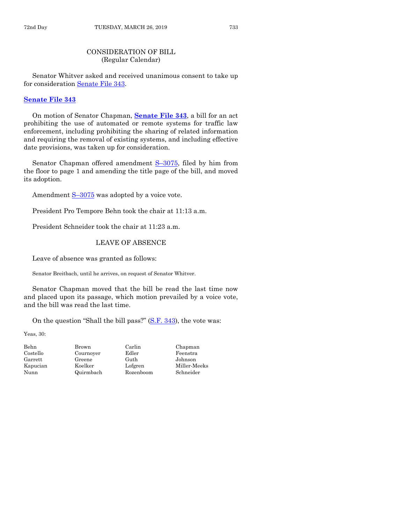## CONSIDERATION OF BILL (Regular Calendar)

Senator Whitver asked and received unanimous consent to take up for consideration [Senate File 343.](https://www.legis.iowa.gov/legislation/BillBook?ga=88&ba=SF343)

#### **[Senate File 343](https://www.legis.iowa.gov/legislation/BillBook?ga=88&ba=SF343)**

On motion of Senator Chapman, **[Senate File 343](https://www.legis.iowa.gov/legislation/BillBook?ga=88&ba=SF343)**, a bill for an act prohibiting the use of automated or remote systems for traffic law enforcement, including prohibiting the sharing of related information and requiring the removal of existing systems, and including effective date provisions, was taken up for consideration.

Senator Chapman offered amendment S-[3075,](https://www.legis.iowa.gov/legislation/BillBook?ga=88&ba=S3075) filed by him from the floor to page 1 and amending the title page of the bill, and moved its adoption.

Amendment S–[3075](https://www.legis.iowa.gov/legislation/BillBook?ga=88&ba=S3075) was adopted by a voice vote.

President Pro Tempore Behn took the chair at 11:13 a.m.

President Schneider took the chair at 11:23 a.m.

#### LEAVE OF ABSENCE

Leave of absence was granted as follows:

Senator Breitbach, until he arrives, on request of Senator Whitver.

Senator Chapman moved that the bill be read the last time now and placed upon its passage, which motion prevailed by a voice vote, and the bill was read the last time.

On the question "Shall the bill pass?" [\(S.F. 343\)](https://www.legis.iowa.gov/legislation/BillBook?ga=88&ba=SF343), the vote was:

Yeas, 30:

Behn Brown Carlin Chapman Costello Cournoyer Edler Feenstra Garrett Greene Guth Johnson

Kapucian Koelker Lofgren Miller-Meeks Nunn Quirmbach Rozenboom Schneider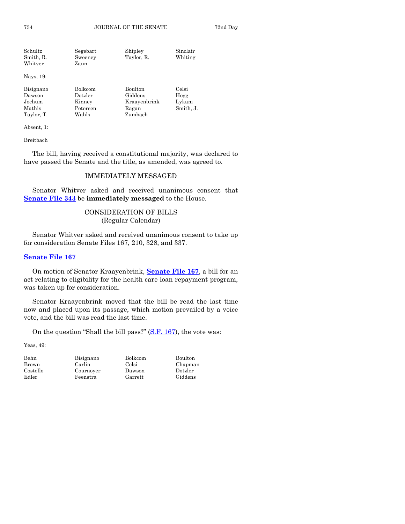| Schultz   | Segebart | Shipley    | Sinclair |
|-----------|----------|------------|----------|
| Smith, R. | Sweeney  | Taylor, R. | Whiting  |
| Whitver   | Zaun     |            |          |
| Nays, 19: |          |            |          |
| Bisignano | Bolkcom  | Boulton    | Celsi    |

| Dawson<br>Jochum | Dotzler<br>Kinney | Giddens<br>Kraayenbrink | Hogg<br>Lykam |
|------------------|-------------------|-------------------------|---------------|
| Mathis           | Petersen          | Ragan                   | Smith, J.     |
| Taylor, T.       | Wahls             | Zumbach                 |               |

Absent, 1:

Breitbach

The bill, having received a constitutional majority, was declared to have passed the Senate and the title, as amended, was agreed to.

## IMMEDIATELY MESSAGED

Senator Whitver asked and received unanimous consent that **[Senate File 343](https://www.legis.iowa.gov/legislation/BillBook?ga=88&ba=SF343)** be **immediately messaged** to the House.

## CONSIDERATION OF BILLS (Regular Calendar)

Senator Whitver asked and received unanimous consent to take up for consideration Senate Files 167, 210, 328, and 337.

#### **[Senate File 167](https://www.legis.iowa.gov/legislation/BillBook?ga=88&ba=SF167)**

On motion of Senator Kraayenbrink, **[Senate File 167](https://www.legis.iowa.gov/legislation/BillBook?ga=88&ba=SF167)**, a bill for an act relating to eligibility for the health care loan repayment program, was taken up for consideration.

Senator Kraayenbrink moved that the bill be read the last time now and placed upon its passage, which motion prevailed by a voice vote, and the bill was read the last time.

On the question "Shall the bill pass?" [\(S.F. 167\)](https://www.legis.iowa.gov/legislation/BillBook?ga=88&ba=SF167), the vote was:

Yeas, 49:

| benn     |
|----------|
| Brown    |
| Costello |
| Edler    |
|          |

Carlin Celsi Chapman Cournoyer Dawson Dotzler Feenstra Garrett Giddens

Behn Bisignano Bolkcom Boulton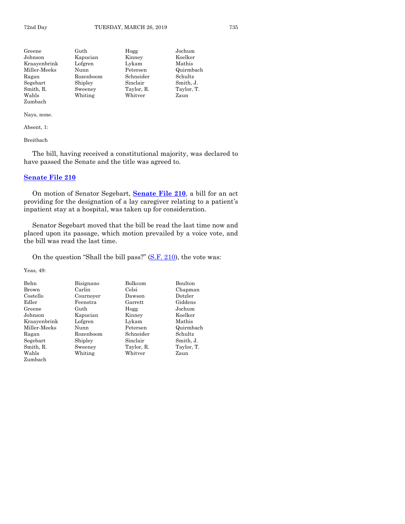| Greene       | Guth      | Hogg       | Jochum     |
|--------------|-----------|------------|------------|
| Johnson      | Kapucian  | Kinney     | Koelker    |
| Kraayenbrink | Lofgren   | Lykam      | Mathis     |
| Miller-Meeks | Nunn      | Petersen   | Quirmbach  |
| Ragan        | Rozenboom | Schneider  | Schultz    |
| Segebart     | Shipley   | Sinclair   | Smith, J.  |
| Smith, R.    | Sweeney   | Taylor, R. | Taylor, T. |
| Wahls        | Whiting   | Whitver    | Zaun       |
| Zumbach      |           |            |            |

Absent, 1:

Breitbach

The bill, having received a constitutional majority, was declared to have passed the Senate and the title was agreed to.

## **[Senate File 210](https://www.legis.iowa.gov/legislation/BillBook?ga=88&ba=SF210)**

On motion of Senator Segebart, **[Senate File 210](https://www.legis.iowa.gov/legislation/BillBook?ga=88&ba=SF210)**, a bill for an act providing for the designation of a lay caregiver relating to a patient's inpatient stay at a hospital, was taken up for consideration.

Senator Segebart moved that the bill be read the last time now and placed upon its passage, which motion prevailed by a voice vote, and the bill was read the last time.

On the question "Shall the bill pass?" [\(S.F. 210\)](https://www.legis.iowa.gov/legislation/BillBook?ga=88&ba=SF210), the vote was:

| <b>Behn</b>  | Bisignano | Bolkcom    | Boulton    |
|--------------|-----------|------------|------------|
| Brown        | Carlin    | Celsi      | Chapman    |
| Costello     | Cournoyer | Dawson     | Dotzler    |
| Edler        | Feenstra  | Garrett    | Giddens    |
| Greene       | Guth      | Hogg       | Jochum     |
| Johnson      | Kapucian  | Kinney     | Koelker    |
| Kraayenbrink | Lofgren   | Lykam      | Mathis     |
| Miller-Meeks | Nunn      | Petersen   | Quirmbach  |
| Ragan        | Rozenboom | Schneider  | Schultz    |
| Segebart     | Shipley   | Sinclair   | Smith, J.  |
| Smith, R.    | Sweeney   | Taylor, R. | Taylor, T. |
| Wahls        | Whiting   | Whitver    | Zaun       |
| Zumbach      |           |            |            |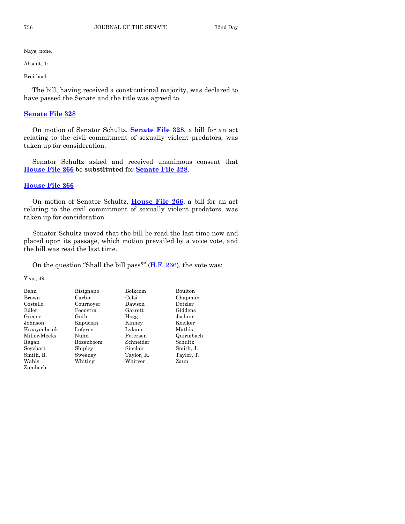Absent, 1:

Breitbach

The bill, having received a constitutional majority, was declared to have passed the Senate and the title was agreed to.

#### **[Senate File 328](https://www.legis.iowa.gov/legislation/BillBook?ga=88&ba=SF328)**

On motion of Senator Schultz, **[Senate File 328](https://www.legis.iowa.gov/legislation/BillBook?ga=88&ba=SF328)**, a bill for an act relating to the civil commitment of sexually violent predators, was taken up for consideration.

Senator Schultz asked and received unanimous consent that **[House File 266](https://www.legis.iowa.gov/legislation/BillBook?ga=88&ba=HF266)** be **substituted** for **[Senate File 328](https://www.legis.iowa.gov/legislation/BillBook?ga=88&ba=SF328)**.

## **[House File 266](https://www.legis.iowa.gov/legislation/BillBook?ga=88&ba=HF266)**

On motion of Senator Schultz, **[House File 266](https://www.legis.iowa.gov/legislation/BillBook?ga=88&ba=HF266)**, a bill for an act relating to the civil commitment of sexually violent predators, was taken up for consideration.

Senator Schultz moved that the bill be read the last time now and placed upon its passage, which motion prevailed by a voice vote, and the bill was read the last time.

On the question "Shall the bill pass?"  $(H.F. 266)$ , the vote was:

| Behn         | Bisignano | Bolkcom    | Boulton    |
|--------------|-----------|------------|------------|
| <b>Brown</b> | Carlin    | Celsi      | Chapman    |
| Costello     | Cournover | Dawson     | Dotzler    |
| Edler        | Feenstra  | Garrett    | Giddens    |
| Greene       | Guth      | Hogg       | Jochum     |
| Johnson      | Kapucian  | Kinney     | Koelker    |
| Kraayenbrink | Lofgren   | Lykam      | Mathis     |
| Miller-Meeks | Nunn      | Petersen   | Quirmbach  |
| Ragan        | Rozenboom | Schneider  | Schultz    |
| Segebart     | Shipley   | Sinclair   | Smith, J.  |
| Smith, R.    | Sweeney   | Taylor, R. | Taylor, T. |
| Wahls        | Whiting   | Whitver    | Zaun       |
| Zumbach      |           |            |            |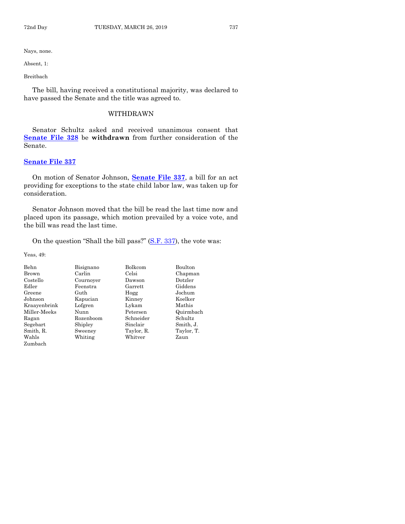Absent, 1:

Breitbach

The bill, having received a constitutional majority, was declared to have passed the Senate and the title was agreed to.

## WITHDRAWN

Senator Schultz asked and received unanimous consent that **[Senate File 328](https://www.legis.iowa.gov/legislation/BillBook?ga=88&ba=SF328)** be **withdrawn** from further consideration of the Senate.

## **[Senate File 337](https://www.legis.iowa.gov/legislation/BillBook?ga=88&ba=SF337)**

On motion of Senator Johnson, **[Senate File 337](https://www.legis.iowa.gov/legislation/BillBook?ga=88&ba=SF337)**, a bill for an act providing for exceptions to the state child labor law, was taken up for consideration.

Senator Johnson moved that the bill be read the last time now and placed upon its passage, which motion prevailed by a voice vote, and the bill was read the last time.

On the question "Shall the bill pass?" [\(S.F. 337\)](https://www.legis.iowa.gov/legislation/BillBook?ga=88&ba=SF337), the vote was:

| Behn         | Bisignano | Bolkcom    | Boulton    |
|--------------|-----------|------------|------------|
| Brown        | Carlin    | Celsi      | Chapman    |
| Costello     | Cournoyer | Dawson     | Dotzler    |
| Edler        | Feenstra  | Garrett    | Giddens    |
| Greene       | Guth      | Hogg       | Jochum     |
| Johnson      | Kapucian  | Kinney     | Koelker    |
| Kraayenbrink | Lofgren   | Lykam      | Mathis     |
| Miller-Meeks | Nunn      | Petersen   | Quirmbach  |
| Ragan        | Rozenboom | Schneider  | Schultz    |
| Segebart     | Shipley   | Sinclair   | Smith, J.  |
| Smith, R.    | Sweeney   | Taylor, R. | Taylor, T. |
| Wahls        | Whiting   | Whitver    | Zaun       |
| Zumbach      |           |            |            |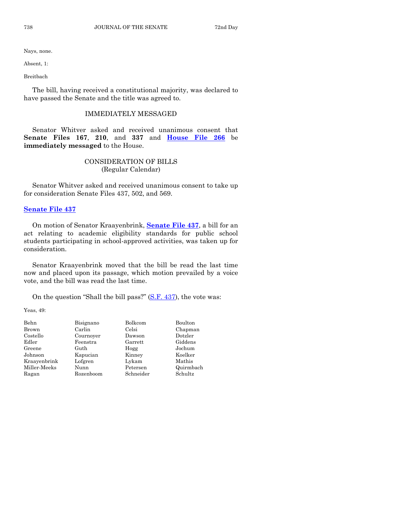Absent, 1:

Breitbach

The bill, having received a constitutional majority, was declared to have passed the Senate and the title was agreed to.

#### IMMEDIATELY MESSAGED

Senator Whitver asked and received unanimous consent that **Senate Files 167**, **210**, and **337** and **[House File 266](https://www.legis.iowa.gov/legislation/BillBook?ga=88&ba=HF266)** be **immediately messaged** to the House.

## CONSIDERATION OF BILLS (Regular Calendar)

Senator Whitver asked and received unanimous consent to take up for consideration Senate Files 437, 502, and 569.

**[Senate File 437](https://www.legis.iowa.gov/legislation/BillBook?ga=88&ba=SF437)**

On motion of Senator Kraayenbrink, **[Senate File 437](https://www.legis.iowa.gov/legislation/BillBook?ga=88&ba=SF437)**, a bill for an act relating to academic eligibility standards for public school students participating in school-approved activities, was taken up for consideration.

Senator Kraayenbrink moved that the bill be read the last time now and placed upon its passage, which motion prevailed by a voice vote, and the bill was read the last time.

On the question "Shall the bill pass?" [\(S.F. 437\)](https://www.legis.iowa.gov/legislation/BillBook?ga=88&ba=SF437), the vote was:

| Behn         | Bisignano | Bolkcom   | Boulton   |
|--------------|-----------|-----------|-----------|
| Brown        | Carlin    | Celsi     | Chapman   |
| Costello     | Cournoyer | Dawson    | Dotzler   |
| Edler        | Feenstra  | Garrett   | Giddens   |
| Greene       | Guth      | Hogg      | Jochum    |
| Johnson      | Kapucian  | Kinney    | Koelker   |
| Kraayenbrink | Lofgren   | Lykam     | Mathis    |
| Miller-Meeks | Nunn      | Petersen  | Quirmbach |
| Ragan        | Rozenboom | Schneider | Schultz   |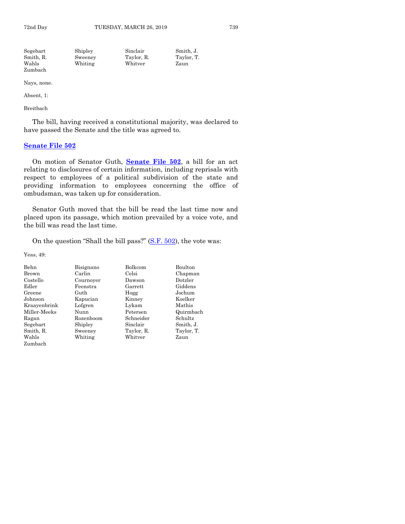| Segebart  | Shipley | Sinclair   | Smith. J.  |
|-----------|---------|------------|------------|
| Smith, R. | Sweeney | Taylor, R. | Taylor, T. |
| Wahls     | Whiting | Whitver    | Zaun       |
| Zumbach   |         |            |            |

Absent, 1:

Breitbach

The bill, having received a constitutional majority, was declared to have passed the Senate and the title was agreed to.

## **[Senate File 502](https://www.legis.iowa.gov/legislation/BillBook?ga=88&ba=SF502)**

On motion of Senator Guth, **[Senate File 502](https://www.legis.iowa.gov/legislation/BillBook?ga=88&ba=SF502)**, a bill for an act relating to disclosures of certain information, including reprisals with respect to employees of a political subdivision of the state and providing information to employees concerning the office of ombudsman, was taken up for consideration.

Senator Guth moved that the bill be read the last time now and placed upon its passage, which motion prevailed by a voice vote, and the bill was read the last time.

On the question "Shall the bill pass?" [\(S.F. 502\)](https://www.legis.iowa.gov/legislation/BillBook?ga=88&ba=SF502), the vote was:

| <b>Behn</b>  | Bisignano | Bolkcom    | Boulton    |
|--------------|-----------|------------|------------|
| <b>Brown</b> | Carlin    | Celsi      | Chapman    |
| Costello     | Cournoyer | Dawson     | Dotzler    |
| Edler        | Feenstra  | Garrett    | Giddens    |
| Greene       | Guth      | Hogg       | Jochum     |
| Johnson      | Kapucian  | Kinney     | Koelker    |
| Kraayenbrink | Lofgren   | Lykam      | Mathis     |
| Miller-Meeks | Nunn      | Petersen   | Quirmbach  |
| Ragan        | Rozenboom | Schneider  | Schultz    |
| Segebart     | Shipley   | Sinclair   | Smith, J.  |
| Smith, R.    | Sweeney   | Taylor, R. | Taylor, T. |
| Wahls        | Whiting   | Whitver    | Zaun       |
| Zumbach      |           |            |            |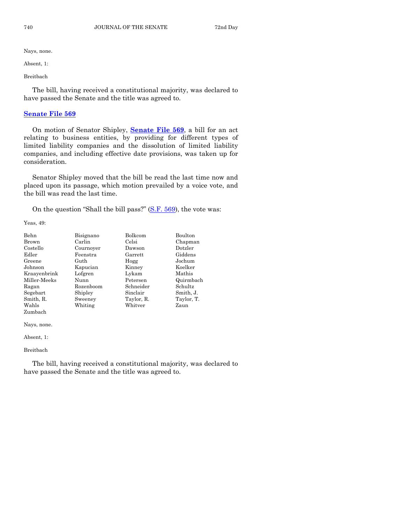Absent, 1:

Breitbach

The bill, having received a constitutional majority, was declared to have passed the Senate and the title was agreed to.

#### **[Senate File 569](https://www.legis.iowa.gov/legislation/BillBook?ga=88&ba=SF569)**

On motion of Senator Shipley, **[Senate File 569](https://www.legis.iowa.gov/legislation/BillBook?ga=88&ba=SF569)**, a bill for an act relating to business entities, by providing for different types of limited liability companies and the dissolution of limited liability companies, and including effective date provisions, was taken up for consideration.

Senator Shipley moved that the bill be read the last time now and placed upon its passage, which motion prevailed by a voice vote, and the bill was read the last time.

On the question "Shall the bill pass?"  $(S.F. 569)$ , the vote was:

Yeas, 49:

| Behn         | Bisignano | Bolkcom    | Boulton    |
|--------------|-----------|------------|------------|
| Brown        | Carlin    | Celsi      | Chapman    |
| Costello     | Cournover | Dawson     | Dotzler    |
| Edler        | Feenstra  | Garrett    | Giddens    |
| Greene       | Guth      | Hogg       | Jochum     |
| Johnson      | Kapucian  | Kinney     | Koelker    |
| Kraayenbrink | Lofgren   | Lykam      | Mathis     |
| Miller-Meeks | Nunn      | Petersen   | Quirmbach  |
| Ragan        | Rozenboom | Schneider  | Schultz    |
| Segebart     | Shipley   | Sinclair   | Smith, J.  |
| Smith, R.    | Sweeney   | Taylor, R. | Taylor, T. |
| Wahls        | Whiting   | Whitver    | Zaun       |
| Zumbach      |           |            |            |

Nays, none.

Absent, 1:

Breitbach

The bill, having received a constitutional majority, was declared to have passed the Senate and the title was agreed to.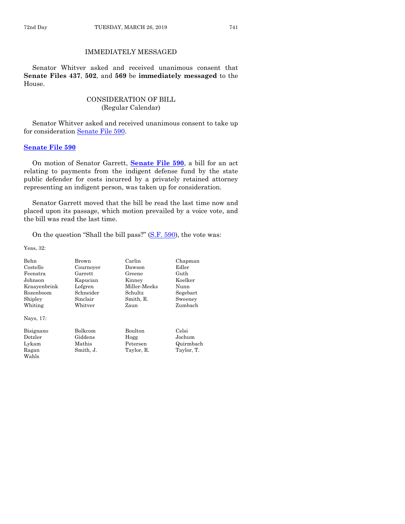## IMMEDIATELY MESSAGED

Senator Whitver asked and received unanimous consent that **Senate Files 437**, **502**, and **569** be **immediately messaged** to the House.

## CONSIDERATION OF BILL (Regular Calendar)

Senator Whitver asked and received unanimous consent to take up for consideration [Senate File 590.](https://www.legis.iowa.gov/legislation/BillBook?ga=88&ba=SF590)

#### **[Senate File 590](https://www.legis.iowa.gov/legislation/BillBook?ga=88&ba=SF590)**

On motion of Senator Garrett, **[Senate File 590](https://www.legis.iowa.gov/legislation/BillBook?ga=88&ba=SF590)**, a bill for an act relating to payments from the indigent defense fund by the state public defender for costs incurred by a privately retained attorney representing an indigent person, was taken up for consideration.

Senator Garrett moved that the bill be read the last time now and placed upon its passage, which motion prevailed by a voice vote, and the bill was read the last time.

On the question "Shall the bill pass?" [\(S.F. 590\)](https://www.legis.iowa.gov/legislation/BillBook?ga=88&ba=SF590), the vote was:

Yeas, 32:

| <b>Behn</b>  | Brown          | Carlin         | Chapman    |
|--------------|----------------|----------------|------------|
| Costello     | Cournoyer      | Dawson         | Edler      |
| Feenstra     | Garrett        | Greene         | Guth       |
| Johnson      | Kapucian       | Kinney         | Koelker    |
| Kraayenbrink | Lofgren        | Miller Meeks   | Nunn       |
| Rozenboom    | Schneider      | Schultz        | Segebart   |
| Shipley      | Sinclair       | Smith, R.      | Sweeney    |
| Whiting      | Whitver        | Zaun           | Zumbach    |
| Nays, 17:    |                |                |            |
| Bisignano    | <b>Bolkcom</b> | <b>Boulton</b> | Celsi      |
| Dotzler      | Giddens        | Hogg           | Jochum     |
| Lykam        | Mathis         | Petersen       | Quirmbach  |
| Ragan        | Smith, J.      | Taylor, R.     | Taylor, T. |
| Wahls        |                |                |            |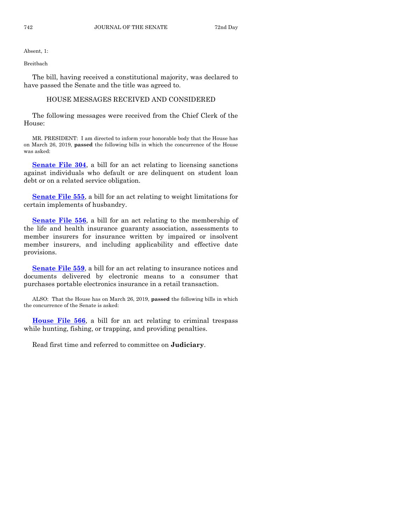Absent, 1:

Breitbach

The bill, having received a constitutional majority, was declared to have passed the Senate and the title was agreed to.

## HOUSE MESSAGES RECEIVED AND CONSIDERED

The following messages were received from the Chief Clerk of the House:

MR. PRESIDENT: I am directed to inform your honorable body that the House has on March 26, 2019, **passed** the following bills in which the concurrence of the House was asked:

**[Senate File 304](https://www.legis.iowa.gov/legislation/BillBook?ga=88&ba=SF304)**, a bill for an act relating to licensing sanctions against individuals who default or are delinquent on student loan debt or on a related service obligation.

**[Senate File 555](https://www.legis.iowa.gov/legislation/BillBook?ga=88&ba=SF555)**, a bill for an act relating to weight limitations for certain implements of husbandry.

**[Senate File 556](https://www.legis.iowa.gov/legislation/BillBook?ga=88&ba=SF556)**, a bill for an act relating to the membership of the life and health insurance guaranty association, assessments to member insurers for insurance written by impaired or insolvent member insurers, and including applicability and effective date provisions.

**[Senate File 559](https://www.legis.iowa.gov/legislation/BillBook?ga=88&ba=SF559)**, a bill for an act relating to insurance notices and documents delivered by electronic means to a consumer that purchases portable electronics insurance in a retail transaction.

ALSO: That the House has on March 26, 2019, **passed** the following bills in which the concurrence of the Senate is asked:

**[House File 566](https://www.legis.iowa.gov/legislation/BillBook?ga=88&ba=HF566)**, a bill for an act relating to criminal trespass while hunting, fishing, or trapping, and providing penalties.

Read first time and referred to committee on **Judiciary**.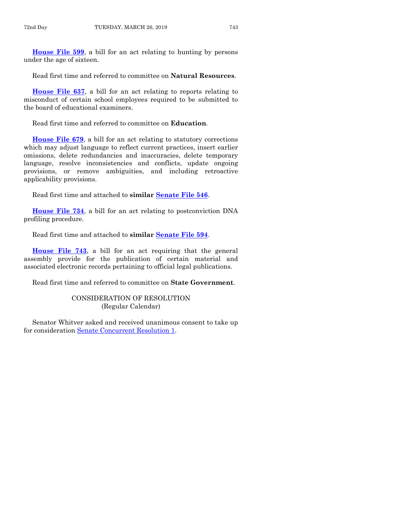**[House File 599](https://www.legis.iowa.gov/legislation/BillBook?ga=88&ba=HF599)**, a bill for an act relating to hunting by persons under the age of sixteen.

Read first time and referred to committee on **Natural Resources**.

**[House File 637](https://www.legis.iowa.gov/legislation/BillBook?ga=88&ba=HF637)**, a bill for an act relating to reports relating to misconduct of certain school employees required to be submitted to the board of educational examiners.

Read first time and referred to committee on **Education**.

**[House File 679](https://www.legis.iowa.gov/legislation/BillBook?ga=88&ba=HF679)**, a bill for an act relating to statutory corrections which may adjust language to reflect current practices, insert earlier omissions, delete redundancies and inaccuracies, delete temporary language, resolve inconsistencies and conflicts, update ongoing provisions, or remove ambiguities, and including retroactive applicability provisions.

Read first time and attached to **similar [Senate File 546](https://www.legis.iowa.gov/legislation/BillBook?ga=88&ba=SF546)**.

**[House File 734](https://www.legis.iowa.gov/legislation/BillBook?ga=88&ba=HF734)**, a bill for an act relating to postconviction DNA profiling procedure.

Read first time and attached to **similar [Senate File 594](https://www.legis.iowa.gov/legislation/BillBook?ga=88&ba=SF594)**.

**[House File 743](https://www.legis.iowa.gov/legislation/BillBook?ga=88&ba=HF743)**, a bill for an act requiring that the general assembly provide for the publication of certain material and associated electronic records pertaining to official legal publications.

Read first time and referred to committee on **State Government**.

## CONSIDERATION OF RESOLUTION (Regular Calendar)

Senator Whitver asked and received unanimous consent to take up for consideration [Senate Concurrent Resolution 1.](https://www.legis.iowa.gov/legislation/BillBook?ga=88&ba=SCR1)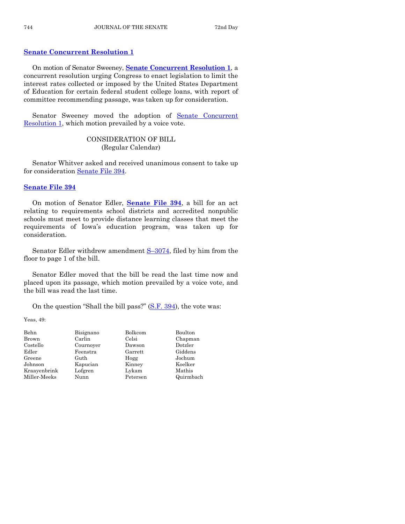## **[Senate Concurrent Resolution 1](https://www.legis.iowa.gov/legislation/BillBook?ga=88&ba=SCR1)**

On motion of Senator Sweeney, **Senate [Concurrent Resolution 1](https://www.legis.iowa.gov/legislation/BillBook?ga=88&ba=SCR1)**, a concurrent resolution urging Congress to enact legislation to limit the interest rates collected or imposed by the United States Department of Education for certain federal student college loans, with report of committee recommending passage, was taken up for consideration.

Senator Sweeney moved the adoption of [Senate Concurrent](https://www.legis.iowa.gov/legislation/BillBook?ga=88&ba=SCR1)  [Resolution 1,](https://www.legis.iowa.gov/legislation/BillBook?ga=88&ba=SCR1) which motion prevailed by a voice vote.

## CONSIDERATION OF BILL (Regular Calendar)

Senator Whitver asked and received unanimous consent to take up for consideration [Senate File 394.](https://www.legis.iowa.gov/legislation/BillBook?ga=88&ba=SF394)

## **[Senate File 394](https://www.legis.iowa.gov/legislation/BillBook?ga=88&ba=SF394)**

On motion of Senator Edler, **[Senate File 394](https://www.legis.iowa.gov/legislation/BillBook?ga=88&ba=SF394)**, a bill for an act relating to requirements school districts and accredited nonpublic schools must meet to provide distance learning classes that meet the requirements of Iowa's education program, was taken up for consideration.

Senator Edler withdrew amendment  $S-3074$ , filed by him from the floor to page 1 of the bill.

Senator Edler moved that the bill be read the last time now and placed upon its passage, which motion prevailed by a voice vote, and the bill was read the last time.

On the question "Shall the bill pass?" [\(S.F. 394\)](https://www.legis.iowa.gov/legislation/BillBook?ga=88&ba=SF394), the vote was:

| Behn         | Bisignano | Bolkcom  | Boulton   |
|--------------|-----------|----------|-----------|
| Brown        | Carlin    | Celsi    | Chapman   |
| Costello     | Cournoyer | Dawson   | Dotzler   |
| Edler        | Feenstra  | Garrett  | Giddens   |
| Greene       | Guth      | Hogg     | Jochum    |
| Johnson      | Kapucian  | Kinney   | Koelker   |
| Kraayenbrink | Lofgren   | Lykam    | Mathis    |
| Miller-Meeks | Nunn      | Petersen | Quirmbach |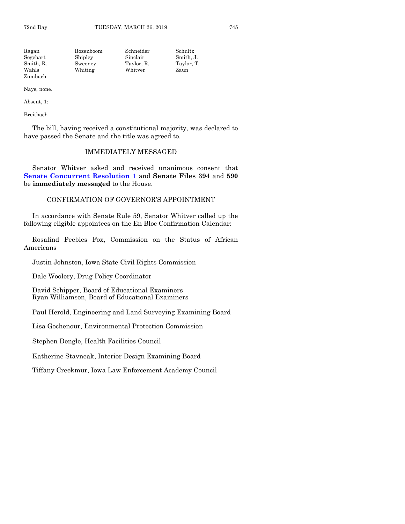| Ragan     | Rozenboom | Schneider  | Schultz    |
|-----------|-----------|------------|------------|
| Segebart  | Shipley   | Sinclair   | Smith. J.  |
| Smith, R. | Sweeney   | Taylor, R. | Taylor, T. |
| Wahls     | Whiting   | Whitver    | Zaun       |
| Zumbach   |           |            |            |

Absent, 1:

Breitbach

The bill, having received a constitutional majority, was declared to have passed the Senate and the title was agreed to.

### IMMEDIATELY MESSAGED

Senator Whitver asked and received unanimous consent that **[Senate Concurrent Resolution 1](https://www.legis.iowa.gov/legislation/BillBook?ga=88&ba=SCR1)** and **Senate Files 394** and **590** be **immediately messaged** to the House.

#### CONFIRMATION OF GOVERNOR'S APPOINTMENT

In accordance with Senate Rule 59, Senator Whitver called up the following eligible appointees on the En Bloc Confirmation Calendar:

Rosalind Peebles Fox, Commission on the Status of African Americans

Justin Johnston, Iowa State Civil Rights Commission

Dale Woolery, Drug Policy Coordinator

David Schipper, Board of Educational Examiners Ryan Williamson, Board of Educational Examiners

Paul Herold, Engineering and Land Surveying Examining Board

Lisa Gochenour, Environmental Protection Commission

Stephen Dengle, Health Facilities Council

Katherine Stavneak, Interior Design Examining Board

Tiffany Creekmur, Iowa Law Enforcement Academy Council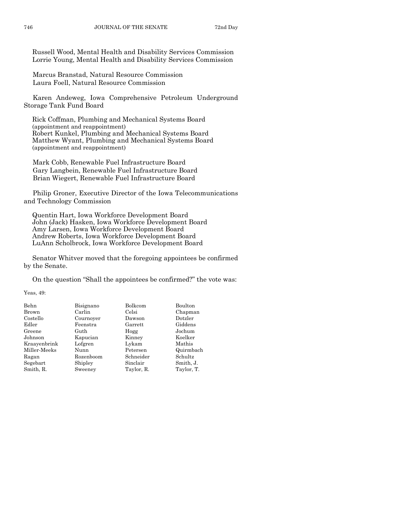Russell Wood, Mental Health and Disability Services Commission Lorrie Young, Mental Health and Disability Services Commission

Marcus Branstad, Natural Resource Commission Laura Foell, Natural Resource Commission

Karen Andeweg, Iowa Comprehensive Petroleum Underground Storage Tank Fund Board

Rick Coffman, Plumbing and Mechanical Systems Board (appointment and reappointment) Robert Kunkel, Plumbing and Mechanical Systems Board Matthew Wyant, Plumbing and Mechanical Systems Board (appointment and reappointment)

Mark Cobb, Renewable Fuel Infrastructure Board Gary Langbein, Renewable Fuel Infrastructure Board Brian Wiegert, Renewable Fuel Infrastructure Board

Philip Groner, Executive Director of the Iowa Telecommunications and Technology Commission

Quentin Hart, Iowa Workforce Development Board John (Jack) Hasken, Iowa Workforce Development Board Amy Larsen, Iowa Workforce Development Board Andrew Roberts, Iowa Workforce Development Board LuAnn Scholbrock, Iowa Workforce Development Board

Senator Whitver moved that the foregoing appointees be confirmed by the Senate.

On the question "Shall the appointees be confirmed?" the vote was:

| Behn         | Bisignano | Bolkcom    | Boulton    |
|--------------|-----------|------------|------------|
| Brown        | Carlin    | Celsi      | Chapman    |
| Costello     | Cournoyer | Dawson     | Dotzler    |
| Edler        | Feenstra  | Garrett    | Giddens    |
| Greene       | Guth      | Hogg       | Jochum     |
| Johnson      | Kapucian  | Kinney     | Koelker    |
| Kraavenbrink | Lofgren   | Lykam      | Mathis     |
| Miller-Meeks | Nunn      | Petersen   | Quirmbach  |
| Ragan        | Rozenboom | Schneider  | Schultz    |
| Segebart     | Shipley   | Sinclair   | Smith, J.  |
| Smith, R.    | Sweeney   | Taylor, R. | Taylor, T. |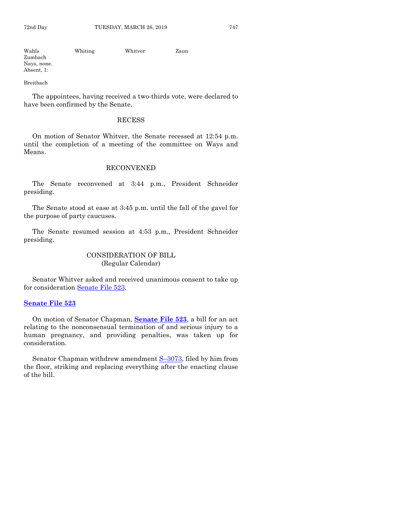| Wahls       | Whiting | Whitver | Zaun |
|-------------|---------|---------|------|
| Zumbach     |         |         |      |
| Nays, none. |         |         |      |
| Absent, 1:  |         |         |      |

Breitbach

The appointees, having received a two-thirds vote, were declared to have been confirmed by the Senate.

#### RECESS

On motion of Senator Whitver, the Senate recessed at 12:54 p.m. until the completion of a meeting of the committee on Ways and Means.

### RECONVENED

The Senate reconvened at 3:44 p.m., President Schneider presiding.

The Senate stood at ease at 3:45 p.m. until the fall of the gavel for the purpose of party caucuses.

The Senate resumed session at 4:53 p.m., President Schneider presiding.

## CONSIDERATION OF BILL (Regular Calendar)

Senator Whitver asked and received unanimous consent to take up for consideration [Senate File 523.](https://www.legis.iowa.gov/legislation/BillBook?ga=88&ba=SF523)

## **[Senate File 523](https://www.legis.iowa.gov/legislation/BillBook?ga=88&ba=SF523)**

On motion of Senator Chapman, **[Senate File 523](https://www.legis.iowa.gov/legislation/BillBook?ga=88&ba=SF523)**, a bill for an act relating to the nonconsensual termination of and serious injury to a human pregnancy, and providing penalties, was taken up for consideration.

Senator Chapman withdrew amendment S–[3073,](https://www.legis.iowa.gov/legislation/BillBook?ga=88&ba=S3073) filed by him from the floor, striking and replacing everything after the enacting clause of the bill.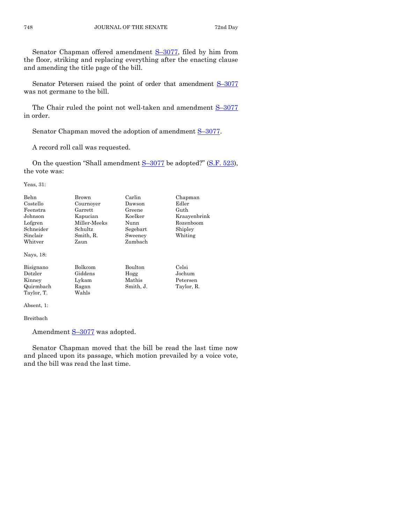Senator Chapman offered amendment S–[3077,](https://www.legis.iowa.gov/legislation/BillBook?ga=88&ba=S3077) filed by him from the floor, striking and replacing everything after the enacting clause and amending the title page of the bill.

Senator Petersen raised the point of order that amendment S-[3077](https://www.legis.iowa.gov/legislation/BillBook?ga=88&ba=S3077) was not germane to the bill.

The Chair ruled the point not well-taken and amendment  $S-3077$  $S-3077$ in order.

Senator Chapman moved the adoption of amendment  $S-3077$ .

A record roll call was requested.

On the question "Shall amendment S-[3077](https://www.legis.iowa.gov/legislation/BillBook?ga=88&ba=S3077) be adopted?" [\(S.F. 523\)](https://www.legis.iowa.gov/legislation/BillBook?ga=88&ba=SF523), the vote was:

Yeas, 31:

| Behn<br>Costello<br>Feenstra<br>Johnson<br>Lofgren<br>Schneider<br>Sinclair<br>Whitver | Brown<br>Cournoyer<br>Garrett<br>Kapucian<br>Miller-Meeks<br><b>Schultz</b><br>Smith, R.<br>Zaun | Carlin<br>Dawson<br>Greene<br>Koelker<br>Nunn<br>Segebart<br>Sweeney<br>Zumbach | Chapman<br>Edler<br>Guth<br>Kraayenbrink<br>Rozenboom<br>Shipley<br>Whiting |
|----------------------------------------------------------------------------------------|--------------------------------------------------------------------------------------------------|---------------------------------------------------------------------------------|-----------------------------------------------------------------------------|
| Nays, 18:                                                                              |                                                                                                  |                                                                                 |                                                                             |
| Bisignano<br>Dotzler<br>Kinney<br>Quirmbach                                            | <b>Bolkcom</b><br>Giddens<br>Lykam<br>Ragan                                                      | <b>Boulton</b><br>Hogg<br>Mathis<br>Smith, J.                                   | Celsi<br>Jochum<br>Petersen<br>Taylor, R.                                   |
| Taylor, T.                                                                             | Wahls                                                                                            |                                                                                 |                                                                             |

Absent, 1:

Breitbach

Amendment S-[3077](https://www.legis.iowa.gov/legislation/BillBook?ga=88&ba=S3077) was adopted.

Senator Chapman moved that the bill be read the last time now and placed upon its passage, which motion prevailed by a voice vote, and the bill was read the last time.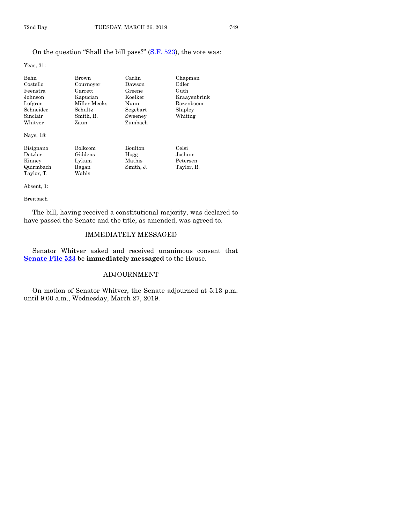## On the question "Shall the bill pass?" [\(S.F. 523\)](https://www.legis.iowa.gov/legislation/BillBook?ga=88&ba=SF523), the vote was:

Yeas, 31:

| Behn       | Brown        | Carlin    | Chapman      |
|------------|--------------|-----------|--------------|
| Costello   | Cournoyer    | Dawson    | Edler        |
| Feenstra   | Garrett      | Greene    | Guth         |
| Johnson    | Kapucian     | Koelker   | Kraayenbrink |
| Lofgren    | Miller-Meeks | Nunn      | Rozenboom    |
| Schneider  | Schultz      | Segebart  | Shipley      |
| Sinclair   | Smith, R.    | Sweeney   | Whiting      |
| Whitver    | Zaun         | Zumbach   |              |
| Nays, 18:  |              |           |              |
| Bisignano  | Bolkcom      | Boulton   | Celsi        |
| Dotzler    | Giddens      | Hogg      | Jochum       |
| Kinney     | Lykam        | Mathis    | Petersen     |
| Quirmbach  | Ragan        | Smith, J. | Taylor, R.   |
| Taylor. T. | Wahls        |           |              |

Taylor, T. Absent, 1:

#### Breitbach

The bill, having received a constitutional majority, was declared to have passed the Senate and the title, as amended, was agreed to.

## IMMEDIATELY MESSAGED

Senator Whitver asked and received unanimous consent that **[Senate File 523](https://www.legis.iowa.gov/legislation/BillBook?ga=88&ba=SF523)** be **immediately messaged** to the House.

## ADJOURNMENT

On motion of Senator Whitver, the Senate adjourned at 5:13 p.m. until 9:00 a.m., Wednesday, March 27, 2019.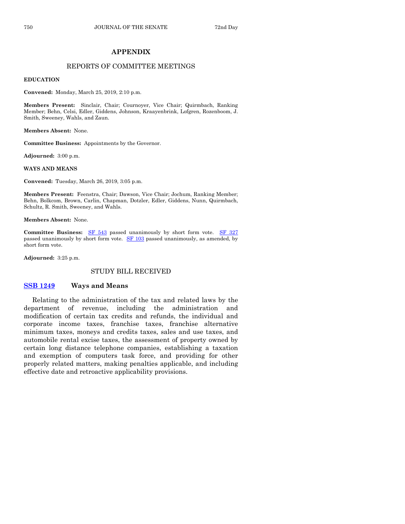## **APPENDIX**

#### REPORTS OF COMMITTEE MEETINGS

#### **EDUCATION**

**Convened:** Monday, March 25, 2019, 2:10 p.m.

**Members Present:** Sinclair, Chair; Cournoyer, Vice Chair; Quirmbach, Ranking Member; Behn, Celsi, Edler, Giddens, Johnson, Kraayenbrink, Lofgren, Rozenboom, J. Smith, Sweeney, Wahls, and Zaun.

**Members Absent:** None.

**Committee Business:** Appointments by the Governor.

**Adjourned:** 3:00 p.m.

#### **WAYS AND MEANS**

**Convened:** Tuesday, March 26, 2019, 3:05 p.m.

**Members Present:** Feenstra, Chair; Dawson, Vice Chair; Jochum, Ranking Member; Behn, Bolkcom, Brown, Carlin, Chapman, Dotzler, Edler, Giddens, Nunn, Quirmbach, Schultz, R. Smith, Sweeney, and Wahls.

**Members Absent:** None.

Committee Business: [SF 543](https://www.legis.iowa.gov/legislation/BillBook?ga=88&ba=SF543) passed unanimously by short form vote. [SF 327](https://www.legis.iowa.gov/legislation/BillBook?ga=88&ba=SF327) passed unanimously by short form vote. [SF 103](https://www.legis.iowa.gov/legislation/BillBook?ga=88&ba=SF103) passed unanimously, as amended, by short form vote.

**Adjourned:** 3:25 p.m.

#### STUDY BILL RECEIVED

#### **[SSB 1249](https://www.legis.iowa.gov/legislation/BillBook?ga=88&ba=SSB1249) Ways and Means**

Relating to the administration of the tax and related laws by the department of revenue, including the administration and modification of certain tax credits and refunds, the individual and corporate income taxes, franchise taxes, franchise alternative minimum taxes, moneys and credits taxes, sales and use taxes, and automobile rental excise taxes, the assessment of property owned by certain long distance telephone companies, establishing a taxation and exemption of computers task force, and providing for other properly related matters, making penalties applicable, and including effective date and retroactive applicability provisions.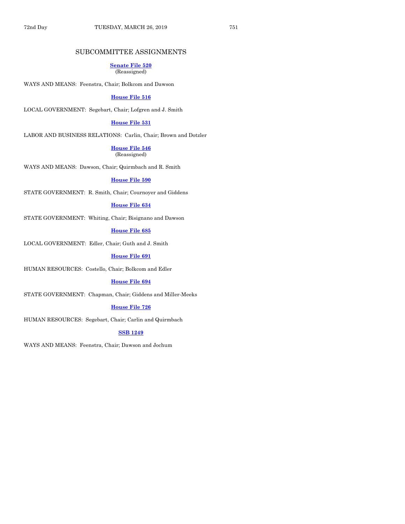## SUBCOMMITTEE ASSIGNMENTS

#### **[Senate File 520](https://www.legis.iowa.gov/legislation/BillBook?ga=88&ba=SF520)** (Reassigned)

WAYS AND MEANS: Feenstra, Chair; Bolkcom and Dawson

## **[House File 516](https://www.legis.iowa.gov/legislation/BillBook?ga=88&ba=HF516)**

LOCAL GOVERNMENT: Segebart, Chair; Lofgren and J. Smith

#### **[House File 531](https://www.legis.iowa.gov/legislation/BillBook?ga=88&ba=HF531)**

LABOR AND BUSINESS RELATIONS: Carlin, Chair; Brown and Dotzler

**[House File 546](https://www.legis.iowa.gov/legislation/BillBook?ga=88&ba=HF546)** (Reassigned)

WAYS AND MEANS: Dawson, Chair; Quirmbach and R. Smith

**[House File 590](https://www.legis.iowa.gov/legislation/BillBook?ga=88&ba=HF590)**

STATE GOVERNMENT: R. Smith, Chair; Cournoyer and Giddens

#### **[House File 634](https://www.legis.iowa.gov/legislation/BillBook?ga=88&ba=HF634)**

STATE GOVERNMENT: Whiting, Chair; Bisignano and Dawson

#### **[House File 685](https://www.legis.iowa.gov/legislation/BillBook?ga=88&ba=HF685)**

LOCAL GOVERNMENT: Edler, Chair; Guth and J. Smith

**[House File 691](https://www.legis.iowa.gov/legislation/BillBook?ga=88&ba=HF691)**

HUMAN RESOURCES: Costello, Chair; Bolkcom and Edler

#### **[House File 694](https://www.legis.iowa.gov/legislation/BillBook?ga=88&ba=HF694)**

STATE GOVERNMENT: Chapman, Chair; Giddens and Miller-Meeks

#### **[House File 726](https://www.legis.iowa.gov/legislation/BillBook?ga=88&ba=HF726)**

HUMAN RESOURCES: Segebart, Chair; Carlin and Quirmbach

#### **[SSB 1249](https://www.legis.iowa.gov/legislation/BillBook?ga=88&ba=SSB1249)**

WAYS AND MEANS: Feenstra, Chair; Dawson and Jochum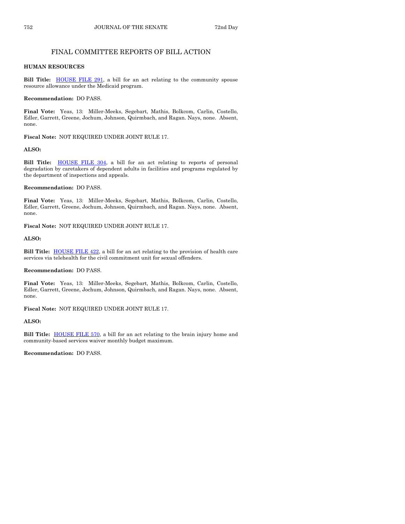## FINAL COMMITTEE REPORTS OF BILL ACTION

#### **HUMAN RESOURCES**

**Bill Title: HOUSE FILE 291**, a bill for an act relating to the community spouse resource allowance under the Medicaid program.

#### **Recommendation:** DO PASS.

**Final Vote:** Yeas, 13: Miller-Meeks, Segebart, Mathis, Bolkcom, Carlin, Costello, Edler, Garrett, Greene, Jochum, Johnson, Quirmbach, and Ragan. Nays, none. Absent, none.

**Fiscal Note:** NOT REQUIRED UNDER JOINT RULE 17.

#### **ALSO:**

**Bill Title:** [HOUSE FILE 304,](https://www.legis.iowa.gov/legislation/BillBook?ga=88&ba=HF304) a bill for an act relating to reports of personal degradation by caretakers of dependent adults in facilities and programs regulated by the department of inspections and appeals.

#### **Recommendation:** DO PASS.

**Final Vote:** Yeas, 13: Miller-Meeks, Segebart, Mathis, Bolkcom, Carlin, Costello, Edler, Garrett, Greene, Jochum, Johnson, Quirmbach, and Ragan. Nays, none. Absent, none.

**Fiscal Note:** NOT REQUIRED UNDER JOINT RULE 17.

#### **ALSO:**

**Bill Title:** [HOUSE FILE 422,](https://www.legis.iowa.gov/legislation/BillBook?ga=88&ba=HF422) a bill for an act relating to the provision of health care services via telehealth for the civil commitment unit for sexual offenders.

#### **Recommendation:** DO PASS.

**Final Vote:** Yeas, 13: Miller-Meeks, Segebart, Mathis, Bolkcom, Carlin, Costello, Edler, Garrett, Greene, Jochum, Johnson, Quirmbach, and Ragan. Nays, none. Absent, none.

**Fiscal Note:** NOT REQUIRED UNDER JOINT RULE 17.

#### **ALSO:**

**Bill Title: HOUSE FILE 570**, a bill for an act relating to the brain injury home and community-based services waiver monthly budget maximum.

**Recommendation:** DO PASS.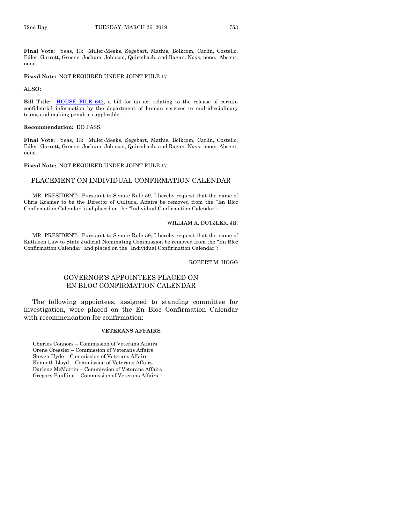**Final Vote:** Yeas, 13: Miller-Meeks, Segebart, Mathis, Bolkcom, Carlin, Costello, Edler, Garrett, Greene, Jochum, Johnson, Quirmbach, and Ragan. Nays, none. Absent, none.

**Fiscal Note:** NOT REQUIRED UNDER JOINT RULE 17.

#### **ALSO:**

Bill Title: **HOUSE FILE 642**, a bill for an act relating to the release of certain confidential information by the department of human services to multidisciplinary teams and making penalties applicable.

#### **Recommendation:** DO PASS.

**Final Vote:** Yeas, 13: Miller-Meeks, Segebart, Mathis, Bolkcom, Carlin, Costello, Edler, Garrett, Greene, Jochum, Johnson, Quirmbach, and Ragan. Nays, none. Absent, none.

#### **Fiscal Note:** NOT REQUIRED UNDER JOINT RULE 17.

## PLACEMENT ON INDIVIDUAL CONFIRMATION CALENDAR

MR. PRESIDENT: Pursuant to Senate Rule 59, I hereby request that the name of Chris Kramer to be the Director of Cultural Affairs be removed from the "En Bloc Confirmation Calendar" and placed on the "Individual Confirmation Calendar":

#### WILLIAM A. DOTZLER, JR.

MR. PRESIDENT: Pursuant to Senate Rule 59, I hereby request that the name of Kathleen Law to State Judicial Nominating Commission be removed from the "En Bloc Confirmation Calendar" and placed on the "Individual Confirmation Calendar":

ROBERT M. HOGG

## GOVERNOR'S APPOINTEES PLACED ON EN BLOC CONFIRMATION CALENDAR

The following appointees, assigned to standing committee for investigation, were placed on the En Bloc Confirmation Calendar with recommendation for confirmation:

#### **VETERANS AFFAIRS**

Charles Connors – Commission of Veterans Affairs Orene Cressler – Commission of Veterans Affairs Steven Hyde – Commission of Veterans Affairs Kenneth Lloyd – Commission of Veterans Affairs Darlene McMartin – Commission of Veterans Affairs Gregory Paulline – Commission of Veterans Affairs